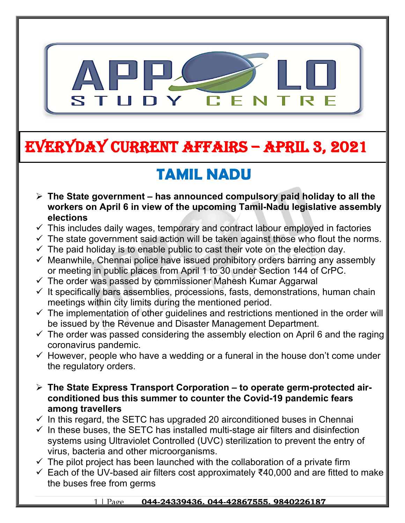

# **EVERYDAY CURRENT AFFAIRS – APRIL 3, 2021**

**-**

## **TAMIL NADU**

- **The State government has announced compulsory paid holiday to all the workers on April 6 in view of the upcoming Tamil-Nadu legislative assembly elections**
- $\checkmark$  This includes daily wages, temporary and contract labour employed in factories
- $\checkmark$  The state government said action will be taken against those who flout the norms.
- $\checkmark$  The paid holiday is to enable public to cast their vote on the election day.
- $\checkmark$  Meanwhile, Chennai police have issued prohibitory orders barring any assembly or meeting in public places from April 1 to 30 under Section 144 of CrPC.
- $\checkmark$  The order was passed by commissioner Mahesh Kumar Aggarwal
- $\checkmark$  It specifically bars assemblies, processions, fasts, demonstrations, human chain meetings within city limits during the mentioned period.
- $\checkmark$  The implementation of other quidelines and restrictions mentioned in the order will be issued by the Revenue and Disaster Management Department.
- $\checkmark$  The order was passed considering the assembly election on April 6 and the raging coronavirus pandemic.
- $\checkmark$  However, people who have a wedding or a funeral in the house don't come under the regulatory orders.
- **The State Express Transport Corporation to operate germ-protected airconditioned bus this summer to counter the Covid-19 pandemic fears among travellers**
- $\checkmark$  In this regard, the SETC has upgraded 20 airconditioned buses in Chennai
- $\checkmark$  In these buses, the SETC has installed multi-stage air filters and disinfection systems using Ultraviolet Controlled (UVC) sterilization to prevent the entry of virus, bacteria and other microorganisms.
- $\checkmark$  The pilot project has been launched with the collaboration of a private firm
- Each of the UV-based air filters cost approximately ₹40,000 and are fitted to make the buses free from germs

#### 1 | Page **044-24339436, 044-42867555, 9840226187**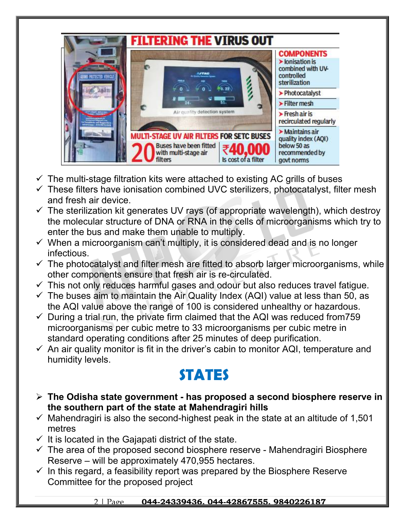

- $\checkmark$  The multi-stage filtration kits were attached to existing AC grills of buses
- $\checkmark$  These filters have ionisation combined UVC sterilizers, photocatalyst, filter mesh and fresh air device.
- $\checkmark$  The sterilization kit generates UV rays (of appropriate wavelength), which destroy the molecular structure of DNA or RNA in the cells of microorganisms which try to enter the bus and make them unable to multiply.
- $\checkmark$  When a microorganism can't multiply, it is considered dead and is no longer infectious.
- $\checkmark$  The photocatalyst and filter mesh are fitted to absorb larger microorganisms, while other components ensure that fresh air is re-circulated.
- $\checkmark$  This not only reduces harmful gases and odour but also reduces travel fatigue.
- $\checkmark$  The buses aim to maintain the Air Quality Index (AQI) value at less than 50, as the AQI value above the range of 100 is considered unhealthy or hazardous.
- $\checkmark$  During a trial run, the private firm claimed that the AQI was reduced from 759 microorganisms per cubic metre to 33 microorganisms per cubic metre in standard operating conditions after 25 minutes of deep purification.
- $\checkmark$  An air quality monitor is fit in the driver's cabin to monitor AQI, temperature and humidity levels.

#### **STATES**

- **The Odisha state government has proposed a second biosphere reserve in the southern part of the state at Mahendragiri hills**
- $\checkmark$  Mahendragiri is also the second-highest peak in the state at an altitude of 1,501 metres
- $\checkmark$  It is located in the Gajapati district of the state.
- $\checkmark$  The area of the proposed second biosphere reserve Mahendragiri Biosphere Reserve – will be approximately 470,955 hectares.
- $\checkmark$  In this regard, a feasibility report was prepared by the Biosphere Reserve Committee for the proposed project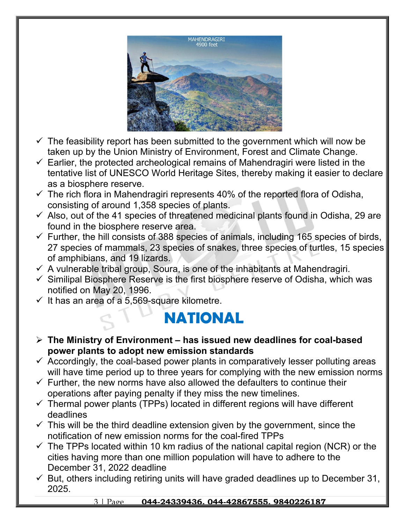

- $\checkmark$  The feasibility report has been submitted to the government which will now be taken up by the Union Ministry of Environment, Forest and Climate Change.
- $\checkmark$  Earlier, the protected archeological remains of Mahendragiri were listed in the tentative list of UNESCO World Heritage Sites, thereby making it easier to declare as a biosphere reserve.
- $\checkmark$  The rich flora in Mahendragiri represents 40% of the reported flora of Odisha, consisting of around 1,358 species of plants.
- $\checkmark$  Also, out of the 41 species of threatened medicinal plants found in Odisha, 29 are found in the biosphere reserve area.
- $\checkmark$  Further, the hill consists of 388 species of animals, including 165 species of birds, 27 species of mammals, 23 species of snakes, three species of turtles, 15 species of amphibians, and 19 lizards.
- $\checkmark$  A vulnerable tribal group, Soura, is one of the inhabitants at Mahendragiri.
- $\checkmark$  Similipal Biosphere Reserve is the first biosphere reserve of Odisha, which was notified on May 20, 1996.
- $\checkmark$  It has an area of a 5,569-square kilometre.

#### **NATIONAL**

- **The Ministry of Environment has issued new deadlines for coal-based power plants to adopt new emission standards**
- $\checkmark$  Accordingly, the coal-based power plants in comparatively lesser polluting areas will have time period up to three years for complying with the new emission norms
- $\checkmark$  Further, the new norms have also allowed the defaulters to continue their operations after paying penalty if they miss the new timelines.
- $\checkmark$  Thermal power plants (TPPs) located in different regions will have different deadlines
- $\checkmark$  This will be the third deadline extension given by the government, since the notification of new emission norms for the coal-fired TPPs
- $\checkmark$  The TPPs located within 10 km radius of the national capital region (NCR) or the cities having more than one million population will have to adhere to the December 31, 2022 deadline
- $\checkmark$  But, others including retiring units will have graded deadlines up to December 31, 2025.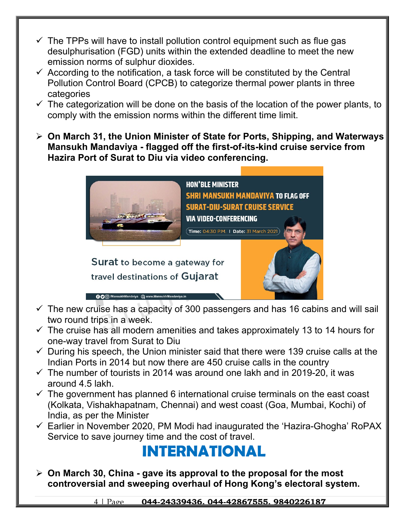- $\checkmark$  The TPPs will have to install pollution control equipment such as flue gas desulphurisation (FGD) units within the extended deadline to meet the new emission norms of sulphur dioxides.
- $\checkmark$  According to the notification, a task force will be constituted by the Central Pollution Control Board (CPCB) to categorize thermal power plants in three categories
- $\checkmark$  The categorization will be done on the basis of the location of the power plants, to comply with the emission norms within the different time limit.
- **On March 31, the Union Minister of State for Ports, Shipping, and Waterways Mansukh Mandaviya - flagged off the first-of-its-kind cruise service from Hazira Port of Surat to Diu via video conferencing.**



 $\checkmark$  The new cruise has a capacity of 300 passengers and has 16 cabins and will sail two round trips in a week.

**OO** /MansukhMandviya **Q** www.MansukhMa

- $\checkmark$  The cruise has all modern amenities and takes approximately 13 to 14 hours for one-way travel from Surat to Diu
- $\checkmark$  During his speech, the Union minister said that there were 139 cruise calls at the Indian Ports in 2014 but now there are 450 cruise calls in the country
- $\checkmark$  The number of tourists in 2014 was around one lakh and in 2019-20, it was around 4.5 lakh.
- $\checkmark$  The government has planned 6 international cruise terminals on the east coast (Kolkata, Vishakhapatnam, Chennai) and west coast (Goa, Mumbai, Kochi) of India, as per the Minister
- $\checkmark$  Earlier in November 2020, PM Modi had inaugurated the 'Hazira-Ghogha' RoPAX Service to save journey time and the cost of travel.

### **INTERNATIONAL**

 **On March 30, China - gave its approval to the proposal for the most controversial and sweeping overhaul of Hong Kong's electoral system.**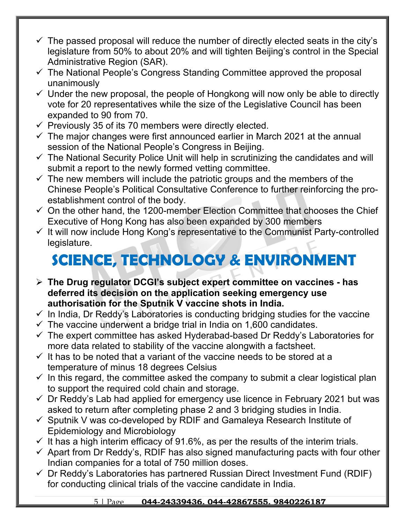- $\checkmark$  The passed proposal will reduce the number of directly elected seats in the city's legislature from 50% to about 20% and will tighten Beijing's control in the Special Administrative Region (SAR).
- $\checkmark$  The National People's Congress Standing Committee approved the proposal unanimously
- $\checkmark$  Under the new proposal, the people of Hongkong will now only be able to directly vote for 20 representatives while the size of the Legislative Council has been expanded to 90 from 70.
- $\checkmark$  Previously 35 of its 70 members were directly elected.
- $\checkmark$  The major changes were first announced earlier in March 2021 at the annual session of the National People's Congress in Beijing.
- $\checkmark$  The National Security Police Unit will help in scrutinizing the candidates and will submit a report to the newly formed vetting committee.
- $\checkmark$  The new members will include the patriotic groups and the members of the Chinese People's Political Consultative Conference to further reinforcing the proestablishment control of the body.
- $\checkmark$  On the other hand, the 1200-member Election Committee that chooses the Chief Executive of Hong Kong has also been expanded by 300 members
- $\checkmark$  It will now include Hong Kong's representative to the Communist Party-controlled legislature.

# **SCIENCE, TECHNOLOGY & ENVIRONMENT**

- **The Drug regulator DCGI's subject expert committee on vaccines has deferred its decision on the application seeking emergency use authorisation for the Sputnik V vaccine shots in India.**
- $\checkmark$  In India, Dr Reddy's Laboratories is conducting bridging studies for the vaccine
- $\checkmark$  The vaccine underwent a bridge trial in India on 1,600 candidates.
- $\checkmark$  The expert committee has asked Hyderabad-based Dr Reddy's Laboratories for more data related to stability of the vaccine alongwith a factsheet.
- $\checkmark$  It has to be noted that a variant of the vaccine needs to be stored at a temperature of minus 18 degrees Celsius
- $\checkmark$  In this regard, the committee asked the company to submit a clear logistical plan to support the required cold chain and storage.
- $\checkmark$  Dr Reddy's Lab had applied for emergency use licence in February 2021 but was asked to return after completing phase 2 and 3 bridging studies in India.
- $\checkmark$  Sputnik V was co-developed by RDIF and Gamaleya Research Institute of Epidemiology and Microbiology
- $\checkmark$  It has a high interim efficacy of 91.6%, as per the results of the interim trials.
- $\checkmark$  Apart from Dr Reddy's, RDIF has also signed manufacturing pacts with four other Indian companies for a total of 750 million doses.
- $\checkmark$  Dr Reddy's Laboratories has partnered Russian Direct Investment Fund (RDIF) for conducting clinical trials of the vaccine candidate in India.